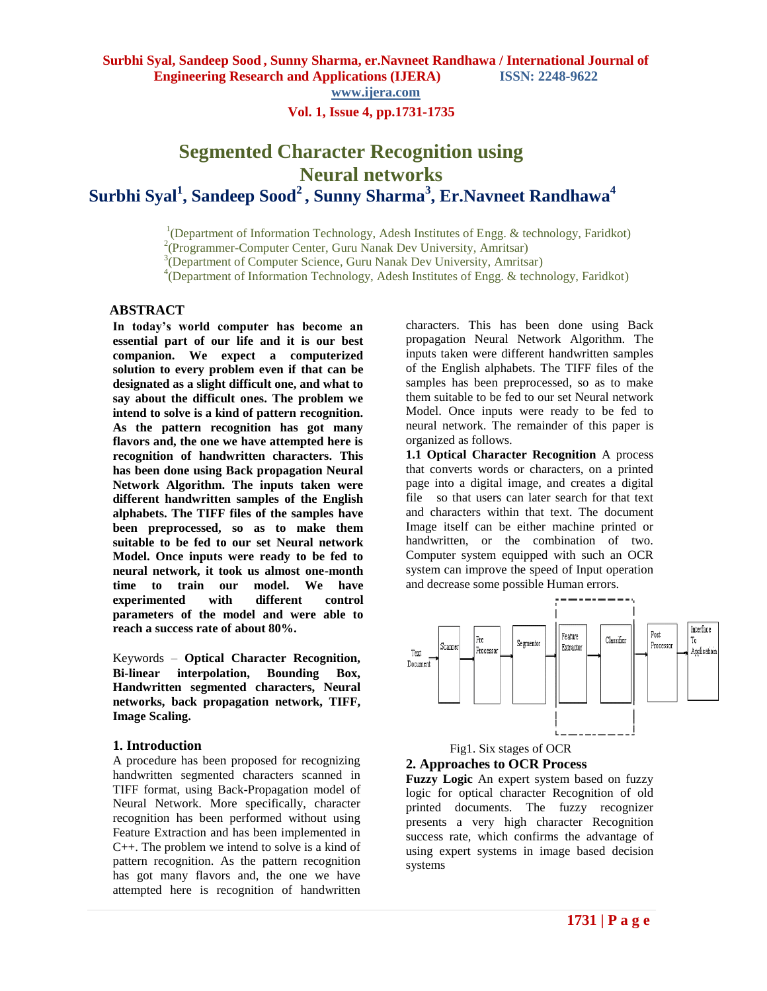**www.ijera.com**

# **Vol. 1, Issue 4, pp.1731-1735**

# **Segmented Character Recognition using Neural networks Surbhi Syal<sup>1</sup> , Sandeep Sood<sup>2</sup>, Sunny Sharma<sup>3</sup> , Er.Navneet Randhawa<sup>4</sup>**

 1 <sup>1</sup>(Department of Information Technology, Adesh Institutes of Engg. & technology, Faridkot)

2 (Programmer-Computer Center, Guru Nanak Dev University, Amritsar)

3 (Department of Computer Science, Guru Nanak Dev University, Amritsar)

<sup>4</sup>(Department of Information Technology, Adesh Institutes of Engg. & technology, Faridkot)

# **ABSTRACT**

**In today's world computer has become an essential part of our life and it is our best companion. We expect a computerized solution to every problem even if that can be designated as a slight difficult one, and what to say about the difficult ones. The problem we intend to solve is a kind of pattern recognition. As the pattern recognition has got many flavors and, the one we have attempted here is recognition of handwritten characters. This has been done using Back propagation Neural Network Algorithm. The inputs taken were different handwritten samples of the English alphabets. The TIFF files of the samples have been preprocessed, so as to make them suitable to be fed to our set Neural network Model. Once inputs were ready to be fed to neural network, it took us almost one-month time to train our model. We have experimented with different control parameters of the model and were able to reach a success rate of about 80%.**

Keywords – **Optical Character Recognition, Bi-linear interpolation, Bounding Box, Handwritten segmented characters, Neural networks, back propagation network, TIFF, Image Scaling.** 

#### **1. Introduction**

A procedure has been proposed for recognizing handwritten segmented characters scanned in TIFF format, using Back-Propagation model of Neural Network. More specifically, character recognition has been performed without using Feature Extraction and has been implemented in C++. The problem we intend to solve is a kind of pattern recognition. As the pattern recognition has got many flavors and, the one we have attempted here is recognition of handwritten

characters. This has been done using Back propagation Neural Network Algorithm. The inputs taken were different handwritten samples of the English alphabets. The TIFF files of the samples has been preprocessed, so as to make them suitable to be fed to our set Neural network Model. Once inputs were ready to be fed to neural network. The remainder of this paper is organized as follows.

**1.1 Optical Character Recognition** A process that converts words or characters, on a printed page into a digital image, and creates a digital file so that users can later search for that text and characters within that text. The document Image itself can be either machine printed or handwritten, or the combination of two. Computer system equipped with such an OCR system can improve the speed of Input operation and decrease some possible Human errors.



 Fig1. Six stages of OCR **2. Approaches to OCR Process**

**Fuzzy Logic** An expert system based on fuzzy logic for optical character Recognition of old printed documents. The fuzzy recognizer presents a very high character Recognition success rate, which confirms the advantage of using expert systems in image based decision systems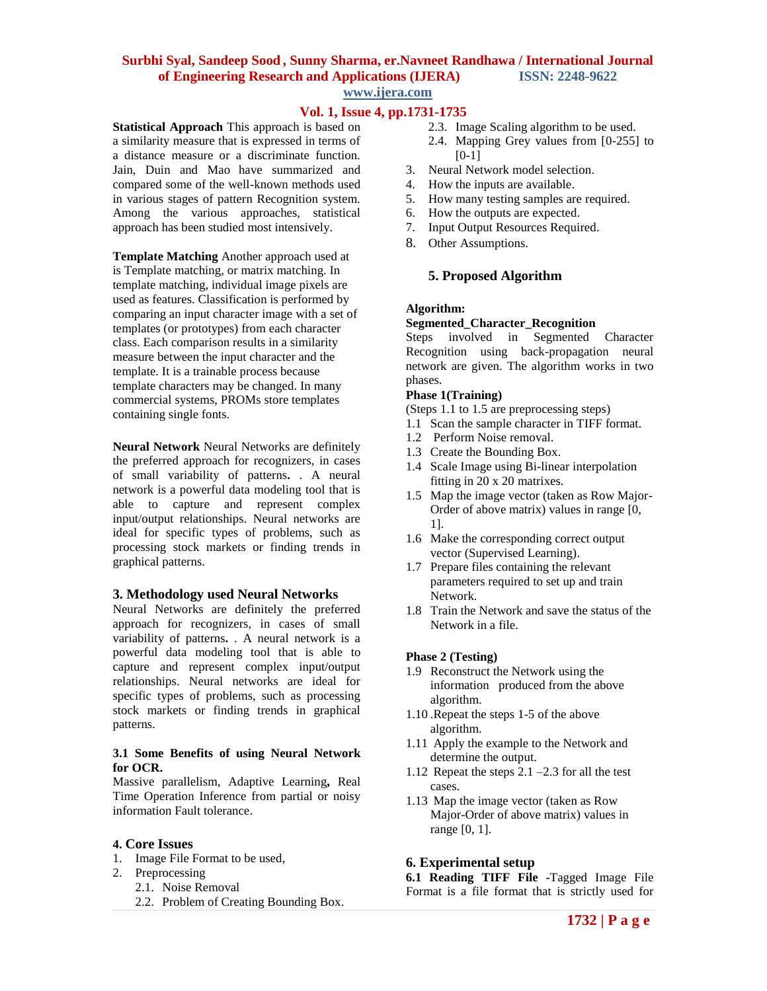#### **Surbhi Syal, Sandeep Sood , Sunny Sharma, er.Navneet Randhawa / International Journal of Engineering Research and Applications (IJERA) ISSN: 2248-9622 www.ijera.com**

# **Vol. 1, Issue 4, pp.1731-1735**

**Statistical Approach** This approach is based on a similarity measure that is expressed in terms of a distance measure or a discriminate function. Jain, Duin and Mao have summarized and compared some of the well-known methods used in various stages of pattern Recognition system. Among the various approaches, statistical approach has been studied most intensively.

**Template Matching** Another approach used at is Template matching, or matrix matching. In template matching, individual image pixels are used as features. Classification is performed by comparing an input character image with a set of templates (or prototypes) from each character class. Each comparison results in a similarity measure between the input character and the template. It is a trainable process because template characters may be changed. In many commercial systems, PROMs store templates containing single fonts.

**Neural Network** Neural Networks are definitely the preferred approach for recognizers, in cases of small variability of patterns**.** . A neural network is a powerful data modeling tool that is able to capture and represent complex input/output relationships. Neural networks are ideal for specific types of problems, such as processing stock markets or finding trends in graphical patterns.

#### **3. Methodology used Neural Networks**

Neural Networks are definitely the preferred approach for recognizers, in cases of small variability of patterns**.** . A neural network is a powerful data modeling tool that is able to capture and represent complex input/output relationships. Neural networks are ideal for specific types of problems, such as processing stock markets or finding trends in graphical patterns.

#### **3.1 Some Benefits of using Neural Network for OCR.**

Massive parallelism, Adaptive Learning**,** Real Time Operation Inference from partial or noisy information Fault tolerance.

#### **4. Core Issues**

- 1. Image File Format to be used,
- 2. Preprocessing
	- 2.1. Noise Removal
		- 2.2. Problem of Creating Bounding Box.
- 2.3. Image Scaling algorithm to be used.
- 2.4. Mapping Grey values from [0-255] to  $[0-1]$
- 3. Neural Network model selection.
- 4. How the inputs are available.
- 5. How many testing samples are required.
- 6. How the outputs are expected.
- 7. Input Output Resources Required.
- 8. Other Assumptions.

#### **5. Proposed Algorithm**

#### **Algorithm:**

#### **Segmented\_Character\_Recognition**

Steps involved in Segmented Character Recognition using back-propagation neural network are given. The algorithm works in two phases.

#### **Phase 1(Training)**

(Steps 1.1 to 1.5 are preprocessing steps)

- 1.1 Scan the sample character in TIFF format.
- 1.2 Perform Noise removal.
- 1.3 Create the Bounding Box.
- 1.4 Scale Image using Bi-linear interpolation fitting in 20 x 20 matrixes.
- 1.5 Map the image vector (taken as Row Major-Order of above matrix) values in range [0, 1].
- 1.6 Make the corresponding correct output vector (Supervised Learning).
- 1.7 Prepare files containing the relevant parameters required to set up and train Network.
- 1.8 Train the Network and save the status of the Network in a file.

#### **Phase 2 (Testing)**

- 1.9 Reconstruct the Network using the information produced from the above algorithm.
- 1.10 .Repeat the steps 1-5 of the above algorithm.
- 1.11 Apply the example to the Network and determine the output.
- 1.12 Repeat the steps 2.1 –2.3 for all the test cases.
- 1.13 Map the image vector (taken as Row Major-Order of above matrix) values in range [0, 1].

#### **6. Experimental setup**

**6.1 Reading TIFF File -**Tagged Image File Format is a file format that is strictly used for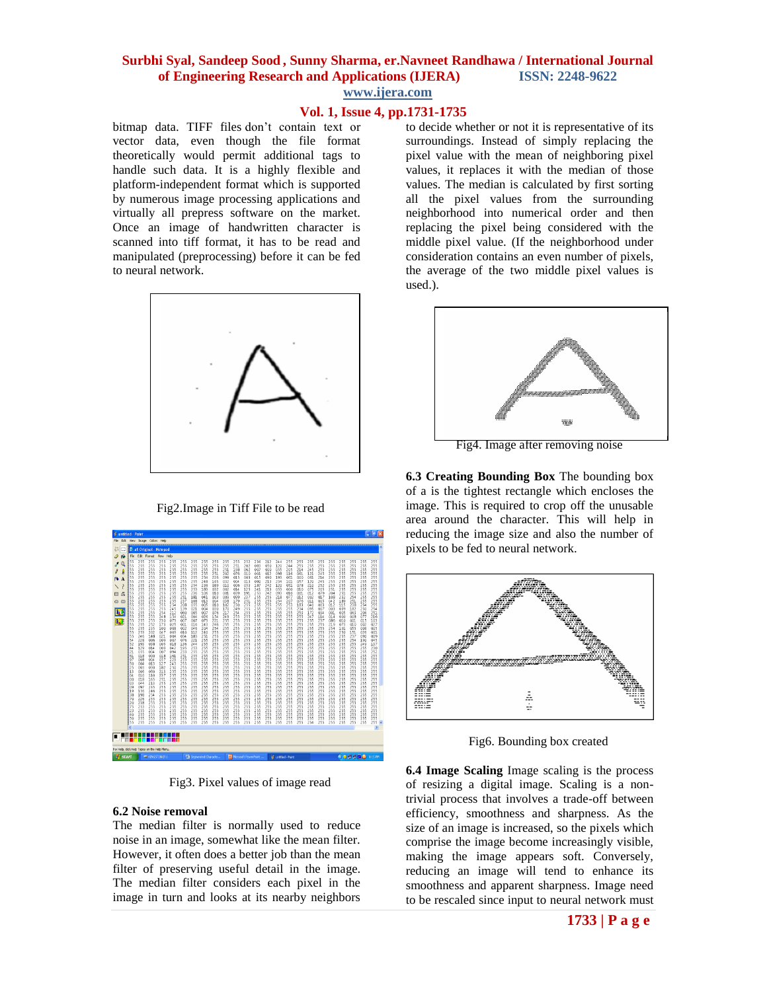# **Surbhi Syal, Sandeep Sood , Sunny Sharma, er.Navneet Randhawa / International Journal of Engineering Research and Applications (IJERA) ISSN: 2248-9622**

**www.ijera.com**

# **Vol. 1, Issue 4, pp.1731-1735**

bitmap data. TIFF files don't contain text or vector data, even though the file format theoretically would permit additional tags to handle such data. It is a highly flexible and platform-independent format which is supported by numerous image processing applications and virtually all prepress software on the market. Once an image of handwritten character is scanned into tiff format, it has to be read and manipulated (preprocessing) before it can be fed to neural network.



Fig2.Image in Tiff File to be read



Fig3. Pixel values of image read

#### **6.2 Noise removal**

The median filter is normally used to reduce noise in an image, somewhat like the mean filter. However, it often does a better job than the mean filter of preserving useful detail in the image. The median filter considers each pixel in the image in turn and looks at its nearby neighbors to decide whether or not it is representative of its surroundings. Instead of simply replacing the pixel value with the mean of neighboring pixel values, it replaces it with the median of those values. The median is calculated by first sorting all the pixel values from the surrounding neighborhood into numerical order and then replacing the pixel being considered with the middle pixel value. (If the neighborhood under consideration contains an even number of pixels, the average of the two middle pixel values is used.).



Fig4. Image after removing noise

**6.3 Creating Bounding Box** The bounding box of a is the tightest rectangle which encloses the image. This is required to crop off the unusable area around the character. This will help in reducing the image size and also the number of pixels to be fed to neural network.



Fig6. Bounding box created

**6.4 Image Scaling** Image scaling is the process of resizing a digital image. Scaling is a nontrivial process that involves a trade-off between efficiency, smoothness and sharpness. As the size of an image is increased, so the pixels which comprise the image become increasingly visible, making the image appears soft. Conversely, reducing an image will tend to enhance its smoothness and apparent sharpness. Image need to be rescaled since input to neural network must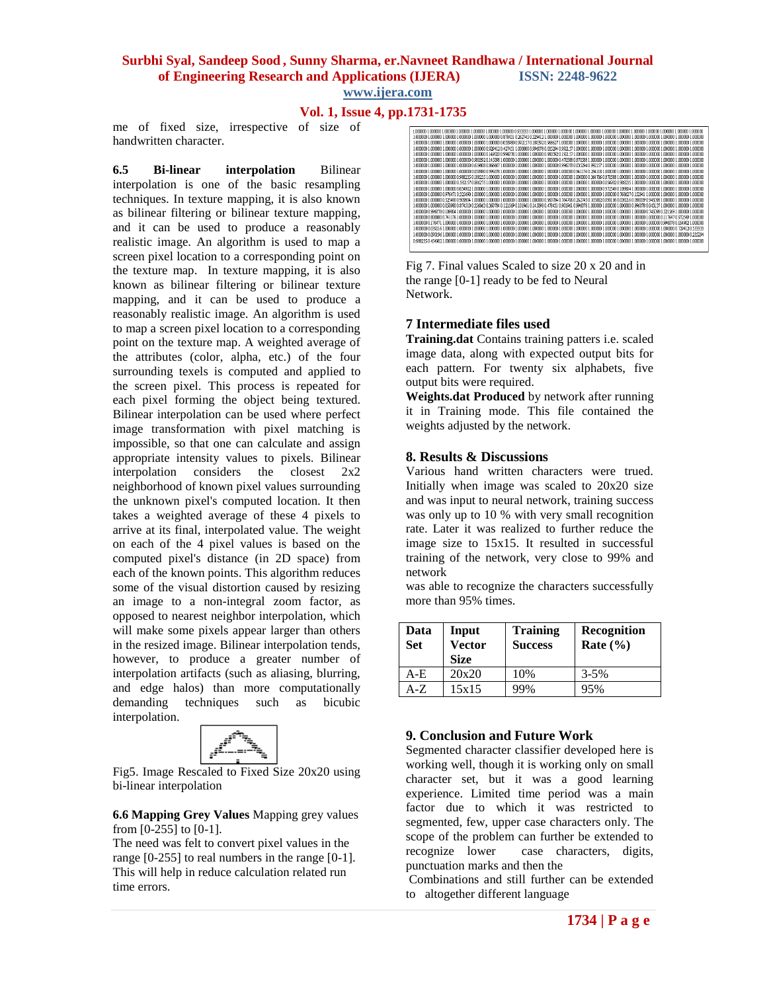#### **Surbhi Syal, Sandeep Sood , Sunny Sharma, er.Navneet Randhawa / International Journal of Engineering Research and Applications (IJERA) ISSN: 2248-9622 www.ijera.com**

#### **Vol. 1, Issue 4, pp.1731-1735**

me of fixed size, irrespective of size of handwritten character.

**6.5 Bi-linear interpolation** Bilinear interpolation is one of the basic resampling techniques. In texture mapping, it is also known as bilinear filtering or bilinear texture mapping, and it can be used to produce a reasonably realistic image. An algorithm is used to map a screen pixel location to a corresponding point on the texture map. In texture mapping, it is also known as bilinear filtering or bilinear texture mapping, and it can be used to produce a reasonably realistic image. An algorithm is used to map a screen pixel location to a corresponding point on the texture map. A weighted average of the attributes (color, alpha, etc.) of the four surrounding texels is computed and applied to the screen pixel. This process is repeated for each pixel forming the object being textured. Bilinear interpolation can be used where perfect image transformation with pixel matching is impossible, so that one can calculate and assign appropriate intensity values to pixels. Bilinear interpolation considers the closest 2x2 neighborhood of known pixel values surrounding the unknown pixel's computed location. It then takes a weighted average of these 4 pixels to arrive at its final, interpolated value. The weight on each of the 4 pixel values is based on the computed pixel's distance (in 2D space) from each of the known points. This algorithm reduces some of the visual distortion caused by resizing an image to a non-integral zoom factor, as opposed to nearest neighbor interpolation, which will make some pixels appear larger than others in the resized image. Bilinear interpolation tends, however, to produce a greater number of interpolation artifacts (such as aliasing, blurring, and edge halos) than more computationally demanding techniques such as bicubic interpolation.



Fig5. Image Rescaled to Fixed Size 20x20 using bi-linear interpolation

**6.6 Mapping Grey Values** Mapping grey values from [0-255] to [0-1].

The need was felt to convert pixel values in the range [0-255] to real numbers in the range [0-1]. This will help in reduce calculation related run time errors.



Fig 7. Final values Scaled to size 20 x 20 and in the range [0-1] ready to be fed to Neural Network.

### **7 Intermediate files used**

**Training.dat** Contains training patters i.e. scaled image data, along with expected output bits for each pattern. For twenty six alphabets, five output bits were required.

**Weights.dat Produced** by network after running it in Training mode. This file contained the weights adjusted by the network.

#### **8. Results & Discussions**

Various hand written characters were trued. Initially when image was scaled to 20x20 size and was input to neural network, training success was only up to 10 % with very small recognition rate. Later it was realized to further reduce the image size to 15x15. It resulted in successful training of the network, very close to 99% and network

was able to recognize the characters successfully more than 95% times.

| Data<br>Set | Input<br><b>Vector</b><br><b>Size</b> | <b>Training</b><br><b>Success</b> | Recognition<br>Rate $(\% )$ |
|-------------|---------------------------------------|-----------------------------------|-----------------------------|
| A-E         | 20x20                                 | 10%                               | $3 - 5\%$                   |
| A-Z         | 15x15                                 | 99%                               | 95%                         |

## **9. Conclusion and Future Work**

Segmented character classifier developed here is working well, though it is working only on small character set, but it was a good learning experience. Limited time period was a main factor due to which it was restricted to segmented, few, upper case characters only. The scope of the problem can further be extended to recognize lower case characters, digits, punctuation marks and then the

Combinations and still further can be extended to altogether different language